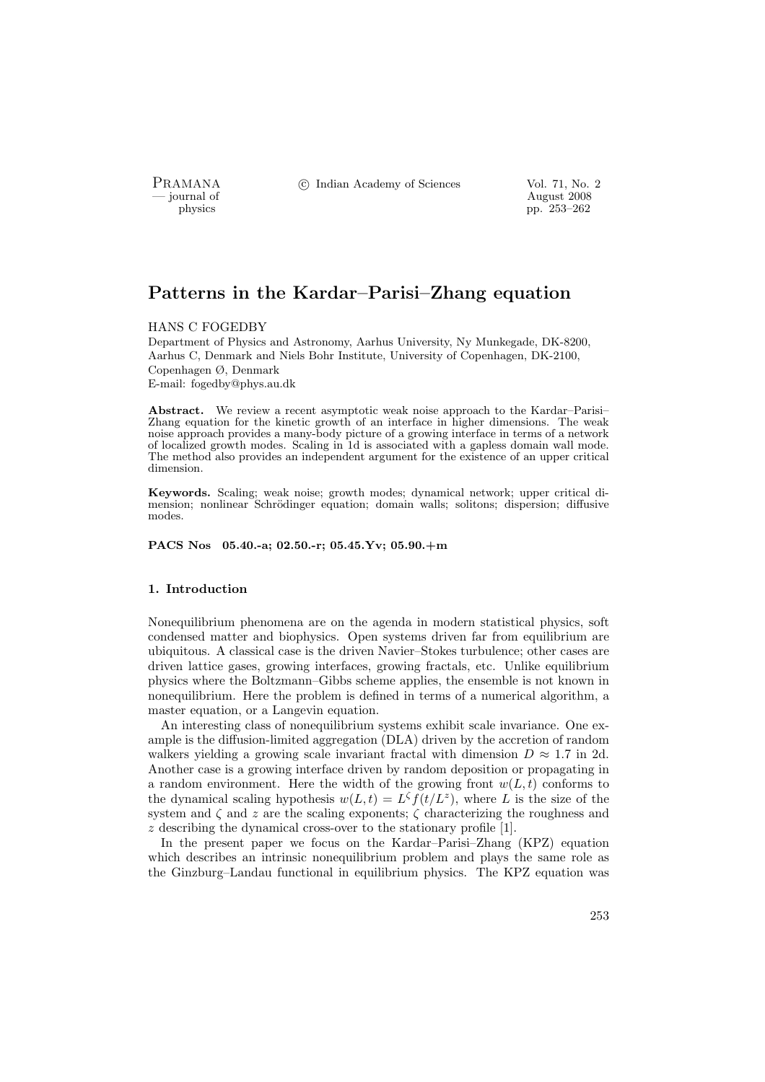PRAMANA °c Indian Academy of Sciences Vol. 71, No. 2

position of the contract of the contract of the contract  $\frac{1}{2008}$  pp. 253–262 physics pp. 253–262

# Patterns in the Kardar–Parisi–Zhang equation

#### HANS C FOGEDBY

Department of Physics and Astronomy, Aarhus University, Ny Munkegade, DK-8200, Aarhus C, Denmark and Niels Bohr Institute, University of Copenhagen, DK-2100, Copenhagen Ø, Denmark E-mail: fogedby@phys.au.dk

Abstract. We review a recent asymptotic weak noise approach to the Kardar–Parisi– Zhang equation for the kinetic growth of an interface in higher dimensions. The weak noise approach provides a many-body picture of a growing interface in terms of a network of localized growth modes. Scaling in 1d is associated with a gapless domain wall mode. The method also provides an independent argument for the existence of an upper critical dimension.

Keywords. Scaling; weak noise; growth modes; dynamical network; upper critical dimension; nonlinear Schrödinger equation; domain walls; solitons; dispersion; diffusive modes.

PACS Nos 05.40.-a; 02.50.-r; 05.45.Yv; 05.90.+m

#### 1. Introduction

Nonequilibrium phenomena are on the agenda in modern statistical physics, soft condensed matter and biophysics. Open systems driven far from equilibrium are ubiquitous. A classical case is the driven Navier–Stokes turbulence; other cases are driven lattice gases, growing interfaces, growing fractals, etc. Unlike equilibrium physics where the Boltzmann–Gibbs scheme applies, the ensemble is not known in nonequilibrium. Here the problem is defined in terms of a numerical algorithm, a master equation, or a Langevin equation.

An interesting class of nonequilibrium systems exhibit scale invariance. One example is the diffusion-limited aggregation (DLA) driven by the accretion of random walkers yielding a growing scale invariant fractal with dimension  $D \approx 1.7$  in 2d. Another case is a growing interface driven by random deposition or propagating in a random environment. Here the width of the growing front  $w(L, t)$  conforms to the dynamical scaling hypothesis  $w(L, t) = L^{\zeta} f(t/L^{z})$ , where L is the size of the system and  $\zeta$  and z are the scaling exponents;  $\zeta$  characterizing the roughness and z describing the dynamical cross-over to the stationary profile [1].

In the present paper we focus on the Kardar–Parisi–Zhang (KPZ) equation which describes an intrinsic nonequilibrium problem and plays the same role as the Ginzburg–Landau functional in equilibrium physics. The KPZ equation was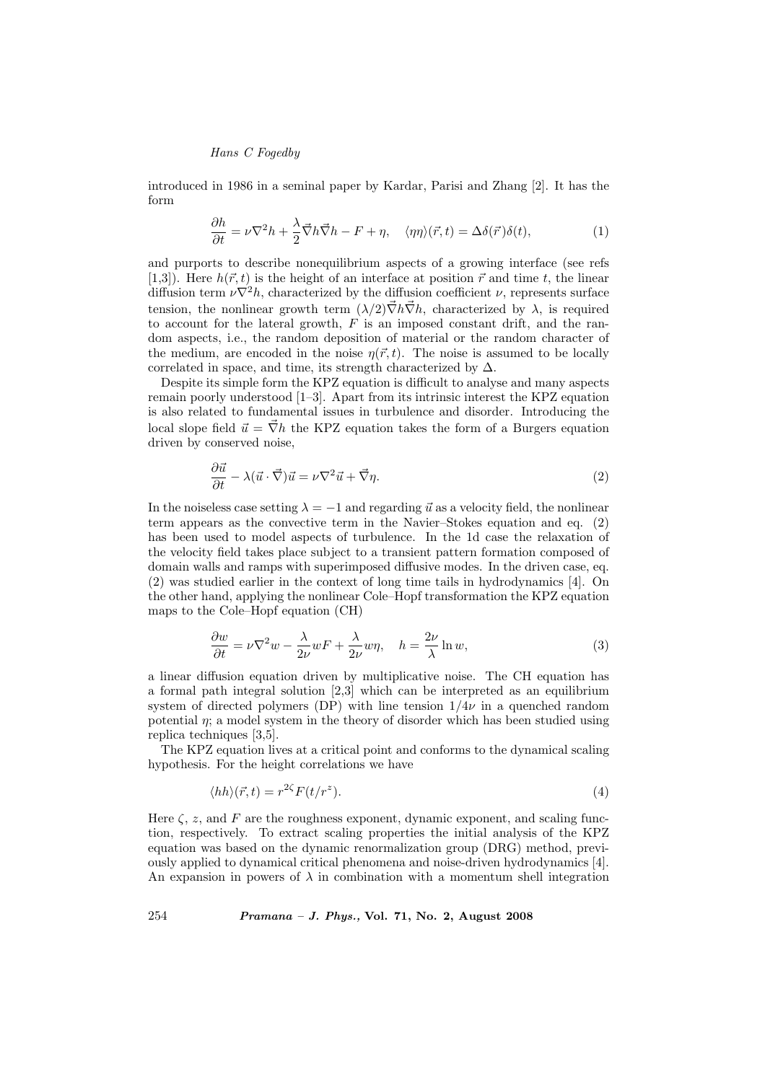introduced in 1986 in a seminal paper by Kardar, Parisi and Zhang [2]. It has the form

$$
\frac{\partial h}{\partial t} = \nu \nabla^2 h + \frac{\lambda}{2} \vec{\nabla} h \vec{\nabla} h - F + \eta, \quad \langle \eta \eta \rangle (\vec{r}, t) = \Delta \delta(\vec{r}) \delta(t), \tag{1}
$$

and purports to describe nonequilibrium aspects of a growing interface (see refs [1,3]). Here  $h(\vec{r}, t)$  is the height of an interface at position  $\vec{r}$  and time t, the linear diffusion term  $\nu \nabla^2 h$ , characterized by the diffusion coefficient  $\nu$ , represents surface tension, the nonlinear growth term  $(\lambda/2)\vec{\nabla}h\vec{\nabla}h$ , characterized by  $\lambda$ , is required to account for the lateral growth,  $F$  is an imposed constant drift, and the random aspects, i.e., the random deposition of material or the random character of the medium, are encoded in the noise  $\eta(\vec{r}, t)$ . The noise is assumed to be locally correlated in space, and time, its strength characterized by  $\Delta$ .

Despite its simple form the KPZ equation is difficult to analyse and many aspects remain poorly understood [1–3]. Apart from its intrinsic interest the KPZ equation is also related to fundamental issues in turbulence and disorder. Introducing the local slope field  $\vec{u} = \vec{\nabla}h$  the KPZ equation takes the form of a Burgers equation driven by conserved noise,

$$
\frac{\partial \vec{u}}{\partial t} - \lambda (\vec{u} \cdot \vec{\nabla}) \vec{u} = \nu \nabla^2 \vec{u} + \vec{\nabla} \eta.
$$
 (2)

In the noiseless case setting  $\lambda = -1$  and regarding  $\vec{u}$  as a velocity field, the nonlinear term appears as the convective term in the Navier–Stokes equation and eq. (2) has been used to model aspects of turbulence. In the 1d case the relaxation of the velocity field takes place subject to a transient pattern formation composed of domain walls and ramps with superimposed diffusive modes. In the driven case, eq. (2) was studied earlier in the context of long time tails in hydrodynamics [4]. On the other hand, applying the nonlinear Cole–Hopf transformation the KPZ equation maps to the Cole–Hopf equation (CH)

$$
\frac{\partial w}{\partial t} = \nu \nabla^2 w - \frac{\lambda}{2\nu} wF + \frac{\lambda}{2\nu} w\eta, \quad h = \frac{2\nu}{\lambda} \ln w,\tag{3}
$$

a linear diffusion equation driven by multiplicative noise. The CH equation has a formal path integral solution [2,3] which can be interpreted as an equilibrium system of directed polymers (DP) with line tension  $1/4\nu$  in a quenched random potential  $\eta$ ; a model system in the theory of disorder which has been studied using replica techniques [3,5].

The KPZ equation lives at a critical point and conforms to the dynamical scaling hypothesis. For the height correlations we have

$$
\langle hh \rangle(\vec{r}, t) = r^{2\zeta} F(t/r^z). \tag{4}
$$

Here  $\zeta$ , z, and F are the roughness exponent, dynamic exponent, and scaling function, respectively. To extract scaling properties the initial analysis of the KPZ equation was based on the dynamic renormalization group (DRG) method, previously applied to dynamical critical phenomena and noise-driven hydrodynamics [4]. An expansion in powers of  $\lambda$  in combination with a momentum shell integration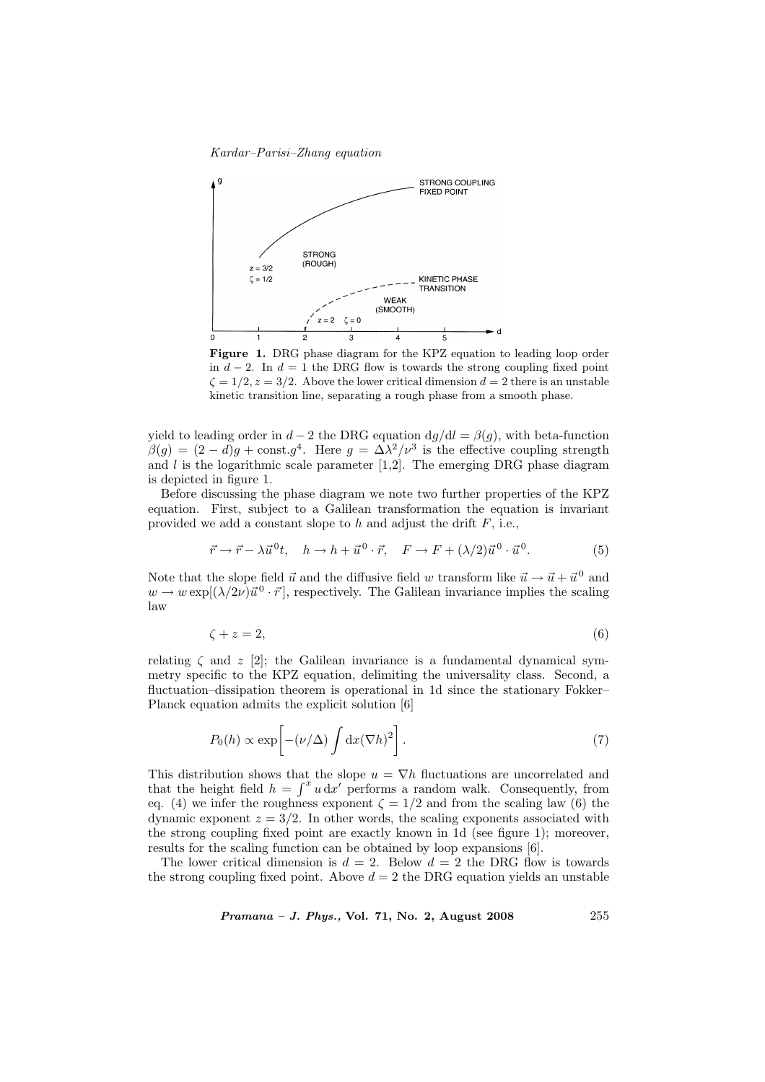Kardar–Parisi–Zhang equation



Figure 1. DRG phase diagram for the KPZ equation to leading loop order in  $d - 2$ . In  $d = 1$  the DRG flow is towards the strong coupling fixed point  $\zeta = 1/2, z = 3/2$ . Above the lower critical dimension  $d = 2$  there is an unstable kinetic transition line, separating a rough phase from a smooth phase.

yield to leading order in  $d-2$  the DRG equation  $dg/dl = \beta(g)$ , with beta-function  $\beta(g) = (2 - d)g + \text{const.} g^4$ . Here  $g = \Delta \lambda^2 / \nu^3$  is the effective coupling strength and  $l$  is the logarithmic scale parameter [1,2]. The emerging DRG phase diagram is depicted in figure 1.

Before discussing the phase diagram we note two further properties of the KPZ equation. First, subject to a Galilean transformation the equation is invariant provided we add a constant slope to  $h$  and adjust the drift  $F$ , i.e.,

$$
\vec{r} \to \vec{r} - \lambda \vec{u}^0 t, \quad h \to h + \vec{u}^0 \cdot \vec{r}, \quad F \to F + (\lambda/2) \vec{u}^0 \cdot \vec{u}^0. \tag{5}
$$

Note that the slope field  $\vec{u}$  and the diffusive field w transform like  $\vec{u} \to \vec{u} + \vec{u}^0$  and  $w \to w \exp[(\lambda/2\nu)\vec{u}^0 \cdot \vec{r}]$ , respectively. The Galilean invariance implies the scaling law

$$
\zeta + z = 2,\tag{6}
$$

relating  $\zeta$  and  $z$  [2]; the Galilean invariance is a fundamental dynamical symmetry specific to the KPZ equation, delimiting the universality class. Second, a fluctuation–dissipation theorem is operational in 1d since the stationary Fokker– Planck equation admits the explicit solution [6]

$$
P_0(h) \propto \exp\left[-(\nu/\Delta)\int \mathrm{d}x(\nabla h)^2\right].\tag{7}
$$

This distribution shows that the slope  $u = \nabla h$  fluctuations are uncorrelated and that the height field  $h = \int^x u \, dx'$  performs a random walk. Consequently, from eq. (4) we infer the roughness exponent  $\zeta = 1/2$  and from the scaling law (6) the dynamic exponent  $z = 3/2$ . In other words, the scaling exponents associated with the strong coupling fixed point are exactly known in 1d (see figure 1); moreover, results for the scaling function can be obtained by loop expansions [6].

The lower critical dimension is  $d = 2$ . Below  $d = 2$  the DRG flow is towards the strong coupling fixed point. Above  $d = 2$  the DRG equation yields an unstable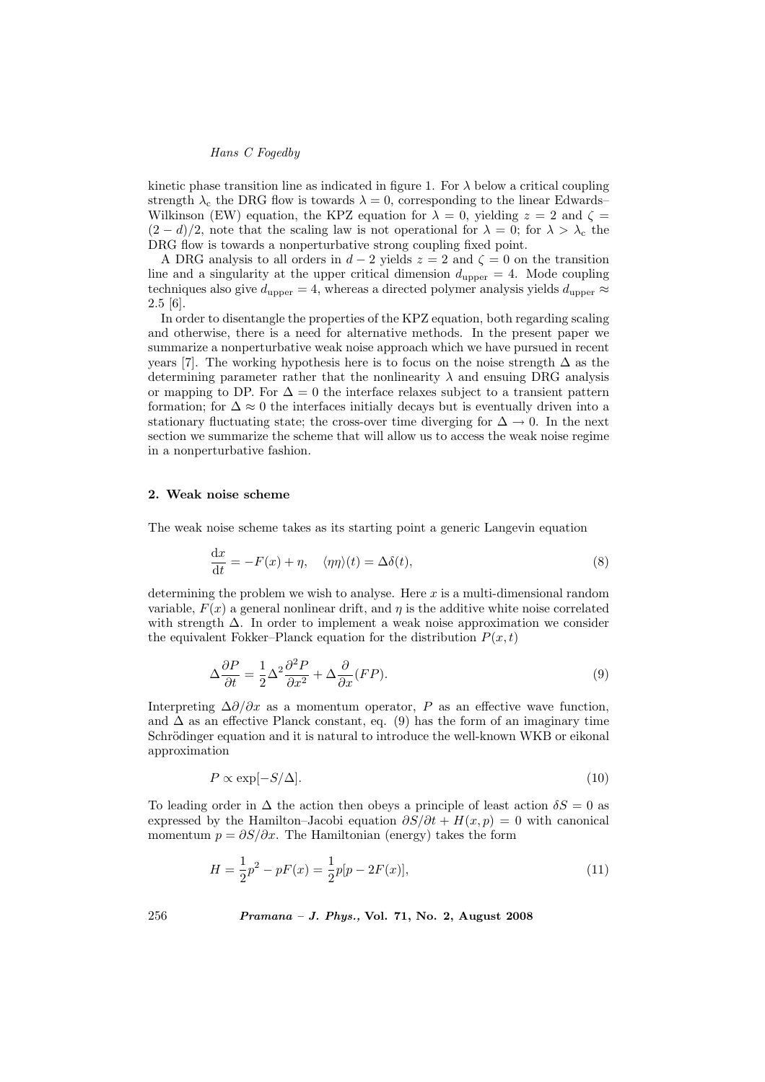kinetic phase transition line as indicated in figure 1. For  $\lambda$  below a critical coupling strength  $\lambda_c$  the DRG flow is towards  $\lambda = 0$ , corresponding to the linear Edwards– Wilkinson (EW) equation, the KPZ equation for  $\lambda = 0$ , yielding  $z = 2$  and  $\zeta =$  $(2-d)/2$ , note that the scaling law is not operational for  $\lambda = 0$ ; for  $\lambda > \lambda_c$  the DRG flow is towards a nonperturbative strong coupling fixed point.

A DRG analysis to all orders in  $d-2$  yields  $z = 2$  and  $\zeta = 0$  on the transition line and a singularity at the upper critical dimension  $d_{\text{upper}} = 4$ . Mode coupling techniques also give  $d_{\text{upper}} = 4$ , whereas a directed polymer analysis yields  $d_{\text{upper}} \approx$ 2.5 [6].

In order to disentangle the properties of the KPZ equation, both regarding scaling and otherwise, there is a need for alternative methods. In the present paper we summarize a nonperturbative weak noise approach which we have pursued in recent years [7]. The working hypothesis here is to focus on the noise strength  $\Delta$  as the determining parameter rather that the nonlinearity  $\lambda$  and ensuing DRG analysis or mapping to DP. For  $\Delta = 0$  the interface relaxes subject to a transient pattern formation; for  $\Delta \approx 0$  the interfaces initially decays but is eventually driven into a stationary fluctuating state; the cross-over time diverging for  $\Delta \to 0$ . In the next section we summarize the scheme that will allow us to access the weak noise regime in a nonperturbative fashion.

#### 2. Weak noise scheme

The weak noise scheme takes as its starting point a generic Langevin equation

$$
\frac{dx}{dt} = -F(x) + \eta, \quad \langle \eta \eta \rangle(t) = \Delta \delta(t), \tag{8}
$$

determining the problem we wish to analyse. Here  $x$  is a multi-dimensional random variable,  $F(x)$  a general nonlinear drift, and  $\eta$  is the additive white noise correlated with strength ∆. In order to implement a weak noise approximation we consider the equivalent Fokker–Planck equation for the distribution  $P(x, t)$ 

$$
\Delta \frac{\partial P}{\partial t} = \frac{1}{2} \Delta^2 \frac{\partial^2 P}{\partial x^2} + \Delta \frac{\partial}{\partial x} (FP).
$$
\n(9)

Interpreting  $\Delta \partial/\partial x$  as a momentum operator, P as an effective wave function, and  $\Delta$  as an effective Planck constant, eq. (9) has the form of an imaginary time Schrödinger equation and it is natural to introduce the well-known WKB or eikonal approximation

$$
P \propto \exp[-S/\Delta].\tag{10}
$$

To leading order in  $\Delta$  the action then obeys a principle of least action  $\delta S = 0$  as expressed by the Hamilton–Jacobi equation  $\partial S/\partial t + H(x,p) = 0$  with canonical momentum  $p = \partial S/\partial x$ . The Hamiltonian (energy) takes the form

$$
H = \frac{1}{2}p^2 - pF(x) = \frac{1}{2}p[p - 2F(x)],
$$
\n(11)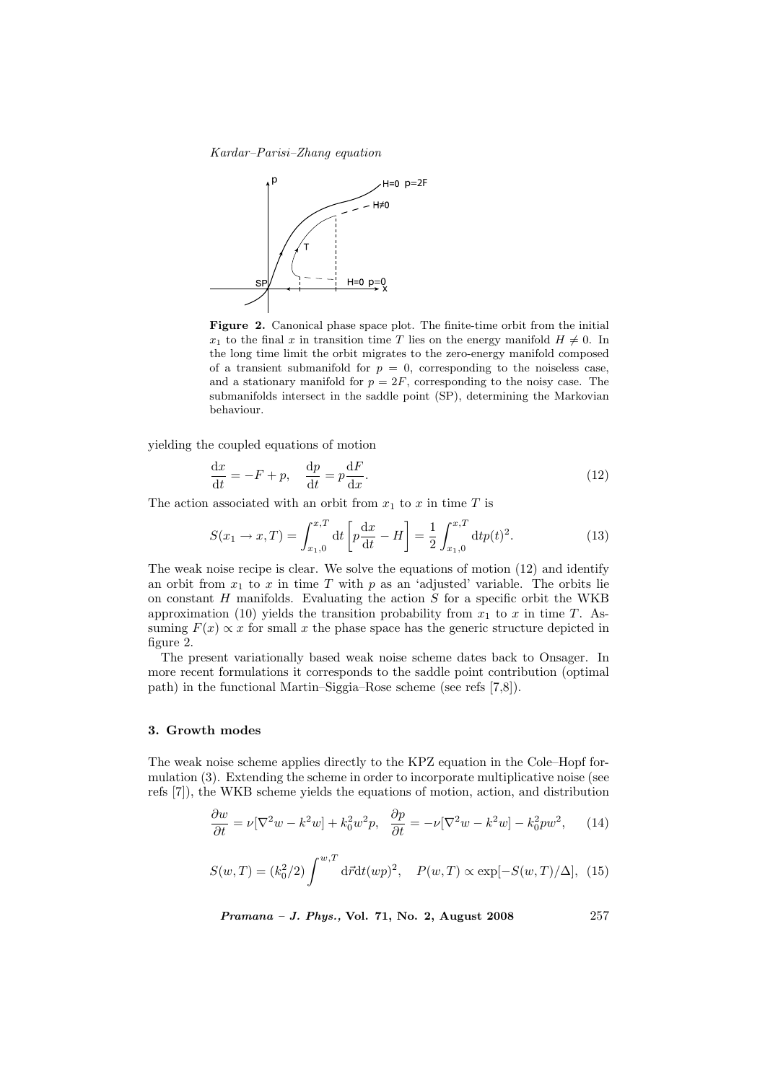Kardar–Parisi–Zhang equation



Figure 2. Canonical phase space plot. The finite-time orbit from the initial  $x_1$  to the final x in transition time T lies on the energy manifold  $H \neq 0$ . In the long time limit the orbit migrates to the zero-energy manifold composed of a transient submanifold for  $p = 0$ , corresponding to the noiseless case, and a stationary manifold for  $p = 2F$ , corresponding to the noisy case. The submanifolds intersect in the saddle point (SP), determining the Markovian behaviour.

yielding the coupled equations of motion

$$
\frac{\mathrm{d}x}{\mathrm{d}t} = -F + p, \quad \frac{\mathrm{d}p}{\mathrm{d}t} = p\frac{\mathrm{d}F}{\mathrm{d}x}.\tag{12}
$$

The action associated with an orbit from  $x_1$  to x in time T is

$$
S(x_1 \to x, T) = \int_{x_1, 0}^{x, T} dt \left[ p \frac{dx}{dt} - H \right] = \frac{1}{2} \int_{x_1, 0}^{x, T} dt p(t)^2.
$$
 (13)

The weak noise recipe is clear. We solve the equations of motion (12) and identify an orbit from  $x_1$  to x in time T with p as an 'adjusted' variable. The orbits lie on constant  $H$  manifolds. Evaluating the action  $S$  for a specific orbit the WKB approximation (10) yields the transition probability from  $x_1$  to x in time T. Assuming  $F(x) \propto x$  for small x the phase space has the generic structure depicted in figure 2.

The present variationally based weak noise scheme dates back to Onsager. In more recent formulations it corresponds to the saddle point contribution (optimal path) in the functional Martin–Siggia–Rose scheme (see refs [7,8]).

# 3. Growth modes

The weak noise scheme applies directly to the KPZ equation in the Cole–Hopf formulation (3). Extending the scheme in order to incorporate multiplicative noise (see refs [7]), the WKB scheme yields the equations of motion, action, and distribution

$$
\frac{\partial w}{\partial t} = \nu [\nabla^2 w - k^2 w] + k_0^2 w^2 p, \quad \frac{\partial p}{\partial t} = -\nu [\nabla^2 w - k^2 w] - k_0^2 p w^2,\tag{14}
$$

$$
S(w,T) = (k_0^2/2) \int^{w,T} d\vec{r} dt (wp)^2, \quad P(w,T) \propto \exp[-S(w,T)/\Delta], \tag{15}
$$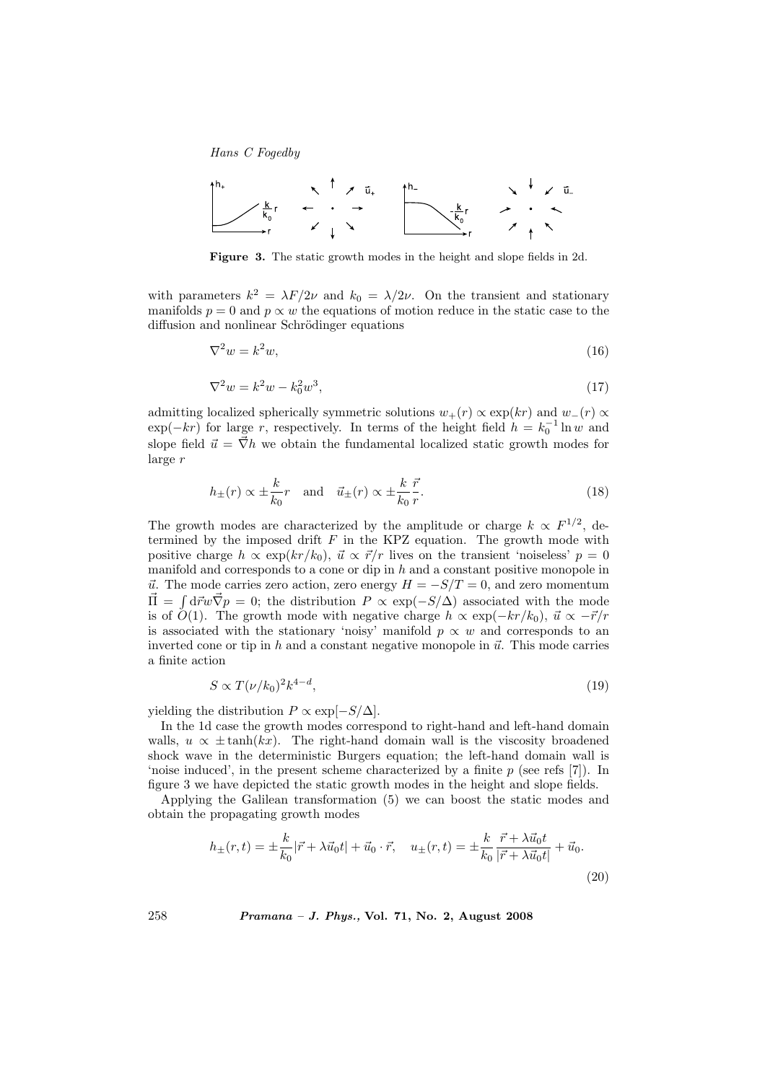

Figure 3. The static growth modes in the height and slope fields in 2d.

with parameters  $k^2 = \lambda F/2\nu$  and  $k_0 = \lambda/2\nu$ . On the transient and stationary manifolds  $p = 0$  and  $p \propto w$  the equations of motion reduce in the static case to the diffusion and nonlinear Schrödinger equations

$$
\nabla^2 w = k^2 w,\tag{16}
$$

$$
\nabla^2 w = k^2 w - k_0^2 w^3,\tag{17}
$$

admitting localized spherically symmetric solutions  $w_+(r) \propto \exp(kr)$  and  $w_-(r) \propto$  $\exp(-kr)$  for large r, respectively. In terms of the height field  $h = k_0^{-1} \ln w$  and slope field  $\vec{u} = \vec{\nabla}h$  we obtain the fundamental localized static growth modes for large r

$$
h_{\pm}(r) \propto \pm \frac{k}{k_0} r \quad \text{and} \quad \vec{u}_{\pm}(r) \propto \pm \frac{k}{k_0} \frac{\vec{r}}{r}.
$$
 (18)

The growth modes are characterized by the amplitude or charge  $k \propto F^{1/2}$ , determined by the imposed drift  $F$  in the KPZ equation. The growth mode with positive charge  $h \propto \exp(kr/k_0)$ ,  $\vec{u} \propto \vec{r}/r$  lives on the transient 'noiseless'  $p = 0$ manifold and corresponds to a cone or dip in  $h$  and a constant positive monopole in  $\vec{u}$ . The mode carries zero action, zero energy  $H = -S/T = 0$ , and zero momentum  $\vec{\Pi} = \int d\vec{r}w \vec{\nabla}p = 0$ ; the distribution  $P \propto \exp(-S/\Delta)$  associated with the mode is of  $O(1)$ . The growth mode with negative charge  $h \propto \exp(-kr/k_0)$ ,  $\vec{u} \propto -\vec{r}/r$ is associated with the stationary 'noisy' manifold  $p \propto w$  and corresponds to an inverted cone or tip in h and a constant negative monopole in  $\vec{u}$ . This mode carries a finite action

$$
S \propto T(\nu/k_0)^2 k^{4-d},\tag{19}
$$

yielding the distribution  $P \propto \exp[-S/\Delta]$ .

In the 1d case the growth modes correspond to right-hand and left-hand domain walls,  $u \propto \pm \tanh(kx)$ . The right-hand domain wall is the viscosity broadened shock wave in the deterministic Burgers equation; the left-hand domain wall is 'noise induced', in the present scheme characterized by a finite  $p$  (see refs [7]). In figure 3 we have depicted the static growth modes in the height and slope fields.

Applying the Galilean transformation (5) we can boost the static modes and obtain the propagating growth modes

$$
h_{\pm}(r,t) = \pm \frac{k}{k_0} |\vec{r} + \lambda \vec{u}_0 t| + \vec{u}_0 \cdot \vec{r}, \quad u_{\pm}(r,t) = \pm \frac{k}{k_0} \frac{\vec{r} + \lambda \vec{u}_0 t}{|\vec{r} + \lambda \vec{u}_0 t|} + \vec{u}_0.
$$
\n(20)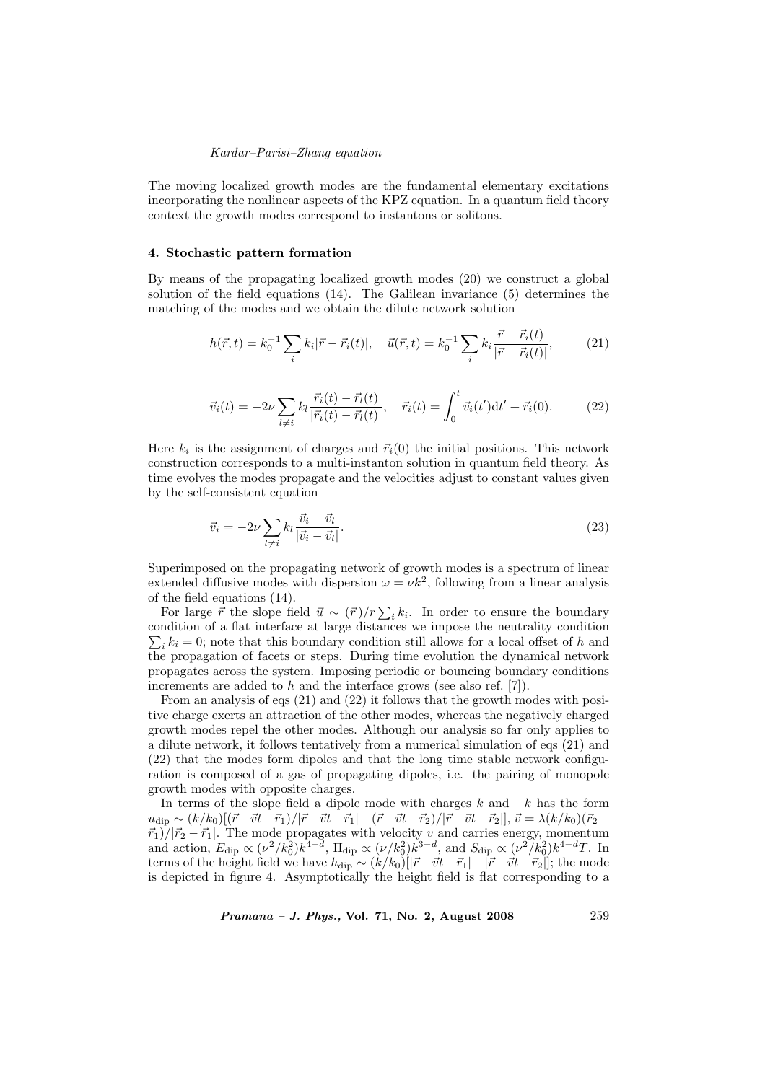#### Kardar–Parisi–Zhang equation

The moving localized growth modes are the fundamental elementary excitations incorporating the nonlinear aspects of the KPZ equation. In a quantum field theory context the growth modes correspond to instantons or solitons.

## 4. Stochastic pattern formation

By means of the propagating localized growth modes (20) we construct a global solution of the field equations (14). The Galilean invariance (5) determines the matching of the modes and we obtain the dilute network solution

$$
h(\vec{r},t) = k_0^{-1} \sum_i k_i |\vec{r} - \vec{r}_i(t)|, \quad \vec{u}(\vec{r},t) = k_0^{-1} \sum_i k_i \frac{\vec{r} - \vec{r}_i(t)}{|\vec{r} - \vec{r}_i(t)|}, \quad (21)
$$

$$
\vec{v}_i(t) = -2\nu \sum_{l \neq i} k_l \frac{\vec{r}_i(t) - \vec{r}_l(t)}{|\vec{r}_i(t) - \vec{r}_l(t)|}, \quad \vec{r}_i(t) = \int_0^t \vec{v}_i(t') dt' + \vec{r}_i(0). \tag{22}
$$

Here  $k_i$  is the assignment of charges and  $\vec{r}_i(0)$  the initial positions. This network construction corresponds to a multi-instanton solution in quantum field theory. As time evolves the modes propagate and the velocities adjust to constant values given by the self-consistent equation

$$
\vec{v}_i = -2\nu \sum_{l \neq i} k_l \frac{\vec{v}_i - \vec{v}_l}{|\vec{v}_i - \vec{v}_l|}.
$$
\n(23)

Superimposed on the propagating network of growth modes is a spectrum of linear extended diffusive modes with dispersion  $\omega = \nu k^2$ , following from a linear analysis of the field equations (14).

the field equations (14).<br>For large  $\vec{r}$  the slope field  $\vec{u} \sim (\vec{r})/r \sum_i k_i$ . In order to ensure the boundary condition of a flat interface at large distances we impose the neutrality condition P  $i_k k_i = 0$ ; note that this boundary condition still allows for a local offset of h and the propagation of facets or steps. During time evolution the dynamical network propagates across the system. Imposing periodic or bouncing boundary conditions increments are added to h and the interface grows (see also ref. [7]).

From an analysis of eqs (21) and (22) it follows that the growth modes with positive charge exerts an attraction of the other modes, whereas the negatively charged growth modes repel the other modes. Although our analysis so far only applies to a dilute network, it follows tentatively from a numerical simulation of eqs (21) and (22) that the modes form dipoles and that the long time stable network configuration is composed of a gas of propagating dipoles, i.e. the pairing of monopole growth modes with opposite charges.

In terms of the slope field a dipole mode with charges  $k$  and  $-k$  has the form  $u_{\text{dip}} \sim (k/k_0)[(\vec{r}-\vec{v}t-\vec{r}_1)/|\vec{r}-\vec{v}t-\vec{r}_1|-(\vec{r}-\vec{v}t-\vec{r}_2)/|\vec{r}-\vec{v}t-\vec{r}_2|], \vec{v} = \lambda (k/k_0)(\vec{r}_2 - \vec{v}t-\vec{r}_1)$  $\langle \vec{r}_1 \rangle / |\vec{r}_2 - \vec{r}_1|$ . The mode propagates with velocity v and carries energy, momentum and action,  $E_{\rm dip} \propto (\nu^2/k_0^2)k^{\bar{4}-\bar{d}}$ ,  $\Pi_{\rm dip} \propto (\nu/k_0^2)k^{3-\bar{d}}$ , and  $S_{\rm dip} \propto (\nu^2/k_0^2)k^{4-\bar{d}}T$ . In terms of the height field we have  $h_{\text{dip}} \sim (k/k_0)[|\vec{r}-\vec{v}t-\vec{r}_1|-|\vec{r}-\vec{v}t-\vec{r}_2|]$ ; the mode is depicted in figure 4. Asymptotically the height field is flat corresponding to a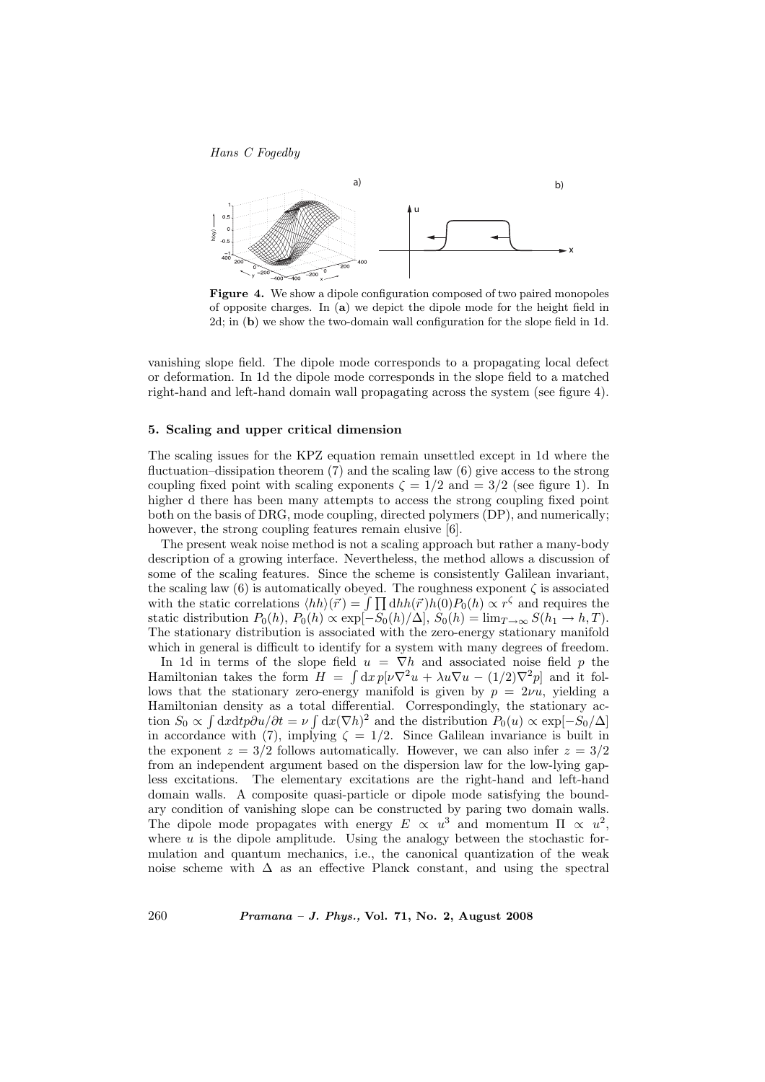

Figure 4. We show a dipole configuration composed of two paired monopoles of opposite charges. In (a) we depict the dipole mode for the height field in 2d; in (b) we show the two-domain wall configuration for the slope field in 1d.

vanishing slope field. The dipole mode corresponds to a propagating local defect or deformation. In 1d the dipole mode corresponds in the slope field to a matched right-hand and left-hand domain wall propagating across the system (see figure 4).

# 5. Scaling and upper critical dimension

The scaling issues for the KPZ equation remain unsettled except in 1d where the fluctuation–dissipation theorem (7) and the scaling law (6) give access to the strong coupling fixed point with scaling exponents  $\zeta = 1/2$  and  $= 3/2$  (see figure 1). In higher d there has been many attempts to access the strong coupling fixed point both on the basis of DRG, mode coupling, directed polymers (DP), and numerically; however, the strong coupling features remain elusive [6].

The present weak noise method is not a scaling approach but rather a many-body description of a growing interface. Nevertheless, the method allows a discussion of some of the scaling features. Since the scheme is consistently Galilean invariant, the scaling law  $(6)$  is automatically obeyed. The roughness exponent  $\zeta$  is associated the scaling law (6) is automatically obeyed. The roughness exponent  $\zeta$  is associated<br>with the static correlations  $\langle hh \rangle(\vec{r}) = \int \prod \mathrm{d}hh(\vec{r})h(0)P_0(h) \propto r^{\zeta}$  and requires the static distribution  $P_0(h)$ ,  $P_0(h) \propto \exp[-\tilde{S}_0(h)/\Delta], \tilde{S}_0(h) = \lim_{T \to \infty} S(h_1 \to h, T)$ . The stationary distribution is associated with the zero-energy stationary manifold which in general is difficult to identify for a system with many degrees of freedom.

In 1d in terms of the slope field  $u = \nabla h$  and associated noise field p the Hamiltonian takes the form  $H = \int dx p[\nu \nabla^2 u + \lambda u \nabla u - (1/2) \nabla^2 p]$  and it follows that the stationary zero-energy manifold is given by  $p = 2\nu u$ , yielding a Hamiltonian density as a total differential. Correspondingly, the stationary action  $S_0 \propto \int dx dt p \partial u / \partial t = \nu \int dx (\nabla h)^2$  and the distribution  $P_0(u) \propto \exp[-S_0/\Delta]$ in accordance with (7), implying  $\zeta = 1/2$ . Since Galilean invariance is built in the exponent  $z = 3/2$  follows automatically. However, we can also infer  $z = 3/2$ from an independent argument based on the dispersion law for the low-lying gapless excitations. The elementary excitations are the right-hand and left-hand domain walls. A composite quasi-particle or dipole mode satisfying the boundary condition of vanishing slope can be constructed by paring two domain walls. The dipole mode propagates with energy  $E \propto u^3$  and momentum  $\Pi \propto u^2$ , where  $u$  is the dipole amplitude. Using the analogy between the stochastic formulation and quantum mechanics, i.e., the canonical quantization of the weak noise scheme with  $\Delta$  as an effective Planck constant, and using the spectral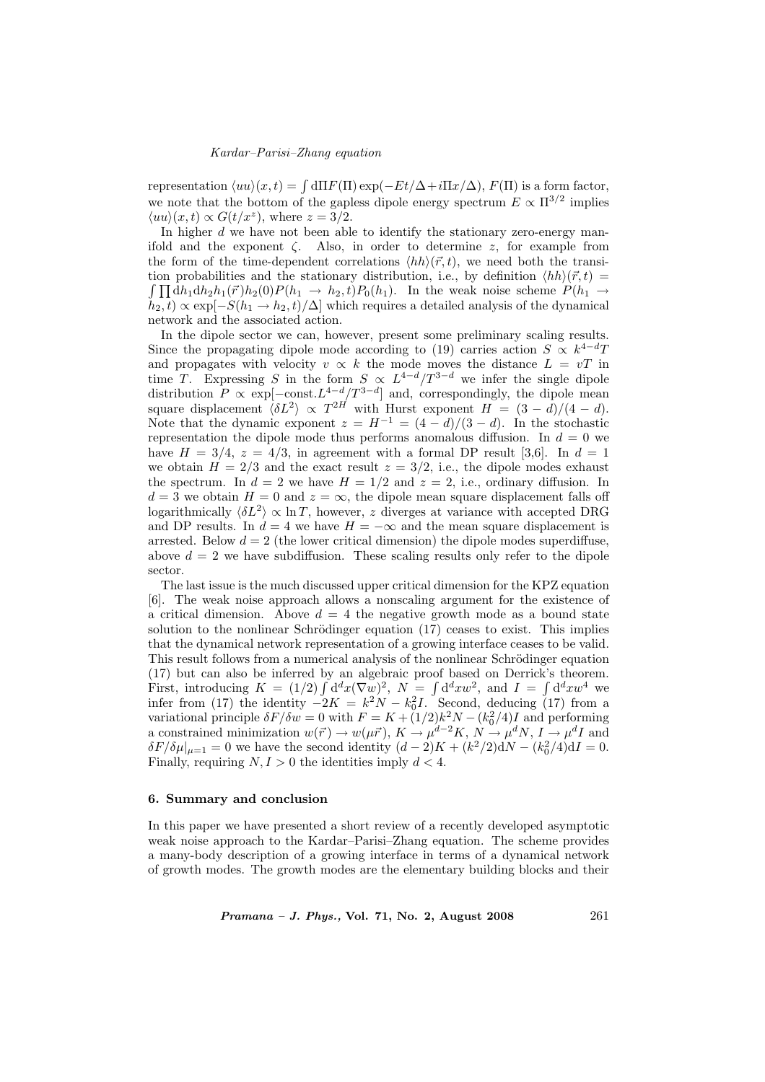# Kardar–Parisi–Zhang equation

representation  $\langle uu \rangle(x, t) = \int d\Pi F(\Pi) \exp(-Et/\Delta + i\Pi x/\Delta), F(\Pi)$  is a form factor, we note that the bottom of the gapless dipole energy spectrum  $E \propto \Pi^{3/2}$  implies  $\langle uu \rangle(x,t) \propto G(t/x^z)$ , where  $z = 3/2$ .

In higher  $d$  we have not been able to identify the stationary zero-energy manifold and the exponent  $\zeta$ . Also, in order to determine z, for example from the form of the time-dependent correlations  $\langle hh \rangle(\vec{r}, t)$ , we need both the transition probabilities and the stationary distribution, i.e., by definition  $\langle hh \rangle(\vec{r}, t) =$  $\int \prod dh_1 dh_2 h_1(\vec{r})h_2(0)P(h_1 \rightarrow h_2, t)P_0(h_1)$ . In the weak noise scheme  $P(h_1 \rightarrow h_2, t)P_0(h_1)$ .  $h_2, t) \propto \exp[-S(h_1 \to h_2, t)/\Delta]$  which requires a detailed analysis of the dynamical network and the associated action.

In the dipole sector we can, however, present some preliminary scaling results. Since the propagating dipole mode according to (19) carries action  $S \propto k^{4-d}T$ and propagates with velocity  $v \propto k$  the mode moves the distance  $L = vT$  in time T. Expressing S in the form  $S \propto L^{4-d}/T^{3-d}$  we infer the single dipole distribution  $P \propto \exp[-\text{const.}L^{4-d}/T^{3-d}]$  and, correspondingly, the dipole mean square displacement  $\langle \delta L^2 \rangle \propto T^{2H}$  with Hurst exponent  $H = (3 - d)/(4 - d)$ . Note that the dynamic exponent  $z = H^{-1} = (4 - d)/(3 - d)$ . In the stochastic representation the dipole mode thus performs anomalous diffusion. In  $d = 0$  we have  $H = 3/4$ ,  $z = 4/3$ , in agreement with a formal DP result [3,6]. In  $d = 1$ we obtain  $H = 2/3$  and the exact result  $z = 3/2$ , i.e., the dipole modes exhaust the spectrum. In  $d = 2$  we have  $H = 1/2$  and  $z = 2$ , i.e., ordinary diffusion. In  $d = 3$  we obtain  $H = 0$  and  $z = \infty$ , the dipole mean square displacement falls off logarithmically  $\langle \delta L^2 \rangle \propto \ln T$ , however, z diverges at variance with accepted DRG and DP results. In  $d = 4$  we have  $H = -\infty$  and the mean square displacement is arrested. Below  $d = 2$  (the lower critical dimension) the dipole modes superdiffuse, above  $d = 2$  we have subdiffusion. These scaling results only refer to the dipole sector.

The last issue is the much discussed upper critical dimension for the KPZ equation [6]. The weak noise approach allows a nonscaling argument for the existence of a critical dimension. Above  $d = 4$  the negative growth mode as a bound state solution to the nonlinear Schrödinger equation (17) ceases to exist. This implies that the dynamical network representation of a growing interface ceases to be valid. This result follows from a numerical analysis of the nonlinear Schrödinger equation (17) but can also be inferred by an algebraic proof based on Derrick's theorem. (17) but can also be inferred by an algebraic proof based on Derrick's theorem.<br>First, introducing  $K = (1/2) \int d^d x (\nabla w)^2$ ,  $N = \int d^d x w^2$ , and  $I = \int d^d x w^4$  we infer from (17) the identity  $-2K = k^2N - k_0^2I$ . Second, deducing (17) from a variational principle  $\delta F/\delta w = 0$  with  $F = K + (1/2)k^2N - (k_0^2/4)I$  and performing a constrained minimization  $w(\vec{r}) \to w(\mu \vec{r}), K \to \mu^{d-2}K, N \to \mu^d N, I \to \mu^d I$  and  $\delta F/\delta \mu|_{\mu=1} = 0$  we have the second identity  $(d-2)K + (k^2/2)dN - (k_0^2/4)dI = 0$ . Finally, requiring  $N, I > 0$  the identities imply  $d < 4$ .

## 6. Summary and conclusion

In this paper we have presented a short review of a recently developed asymptotic weak noise approach to the Kardar–Parisi–Zhang equation. The scheme provides a many-body description of a growing interface in terms of a dynamical network of growth modes. The growth modes are the elementary building blocks and their